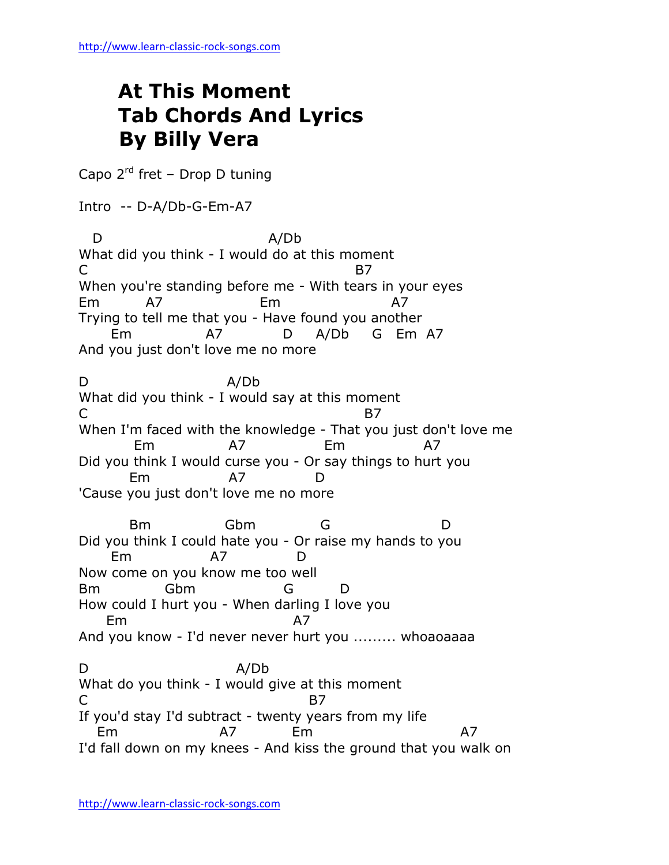## **At This Moment Tab Chords And Lyrics By Billy Vera**

Capo 2<sup>rd</sup> fret - Drop D tuning

Intro -- D-A/Db-G-Em-A7

 D A/Db What did you think - I would do at this moment  $C$  B7 When you're standing before me - With tears in your eyes Em A7 Em A7 Trying to tell me that you - Have found you another Em A7 D A/Db G Em A7 And you just don't love me no more D A/Db What did you think - I would say at this moment  $C$  B7 When I'm faced with the knowledge - That you just don't love me Em A7 Em A7 Did you think I would curse you - Or say things to hurt you Em A7 D 'Cause you just don't love me no more Bm Gbm G D Did you think I could hate you - Or raise my hands to you Em A7 D Now come on you know me too well Bm Gbm G D How could I hurt you - When darling I love you Em A7 And you know - I'd never never hurt you ......... whoaoaaaa D A/Db What do you think - I would give at this moment C B7 If you'd stay I'd subtract - twenty years from my life Em A7 Em A7 I'd fall down on my knees - And kiss the ground that you walk on